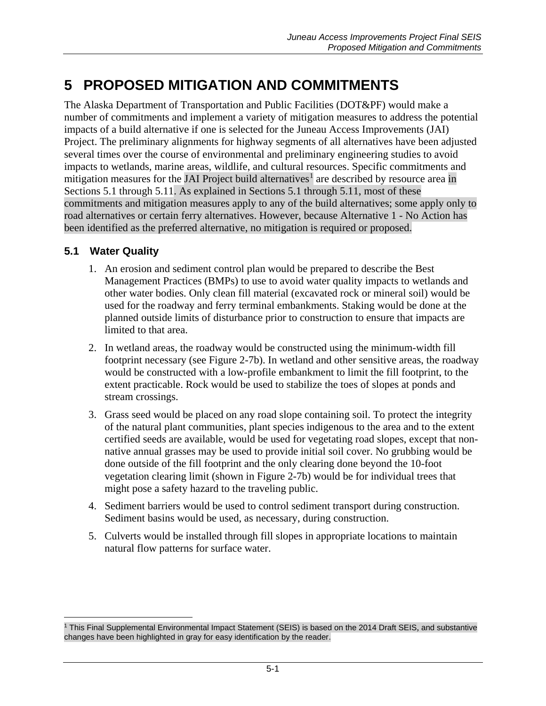# **5 PROPOSED MITIGATION AND COMMITMENTS**

The Alaska Department of Transportation and Public Facilities (DOT&PF) would make a number of commitments and implement a variety of mitigation measures to address the potential impacts of a build alternative if one is selected for the Juneau Access Improvements (JAI) Project. The preliminary alignments for highway segments of all alternatives have been adjusted several times over the course of environmental and preliminary engineering studies to avoid impacts to wetlands, marine areas, wildlife, and cultural resources. Specific commitments and mitigation measures for the JAI Project build alternatives<sup>[1](#page-0-1)</sup> are described by resource area in Sections [5.1](#page-0-0) through [5.11.](#page-5-0) As explained in Sections 5.1 through 5.11, most of these commitments and mitigation measures apply to any of the build alternatives; some apply only to road alternatives or certain ferry alternatives. However, because Alternative 1 - No Action has been identified as the preferred alternative, no mitigation is required or proposed.

#### <span id="page-0-0"></span>**5.1 Water Quality**

 $\overline{a}$ 

- 1. An erosion and sediment control plan would be prepared to describe the Best Management Practices (BMPs) to use to avoid water quality impacts to wetlands and other water bodies. Only clean fill material (excavated rock or mineral soil) would be used for the roadway and ferry terminal embankments. Staking would be done at the planned outside limits of disturbance prior to construction to ensure that impacts are limited to that area.
- 2. In wetland areas, the roadway would be constructed using the minimum-width fill footprint necessary (see Figure 2-7b). In wetland and other sensitive areas, the roadway would be constructed with a low-profile embankment to limit the fill footprint, to the extent practicable. Rock would be used to stabilize the toes of slopes at ponds and stream crossings.
- 3. Grass seed would be placed on any road slope containing soil. To protect the integrity of the natural plant communities, plant species indigenous to the area and to the extent certified seeds are available, would be used for vegetating road slopes, except that nonnative annual grasses may be used to provide initial soil cover. No grubbing would be done outside of the fill footprint and the only clearing done beyond the 10-foot vegetation clearing limit (shown in Figure 2-7b) would be for individual trees that might pose a safety hazard to the traveling public.
- 4. Sediment barriers would be used to control sediment transport during construction. Sediment basins would be used, as necessary, during construction.
- 5. Culverts would be installed through fill slopes in appropriate locations to maintain natural flow patterns for surface water.

<span id="page-0-1"></span><sup>&</sup>lt;sup>1</sup> This Final Supplemental Environmental Impact Statement (SEIS) is based on the 2014 Draft SEIS, and substantive changes have been highlighted in gray for easy identification by the reader.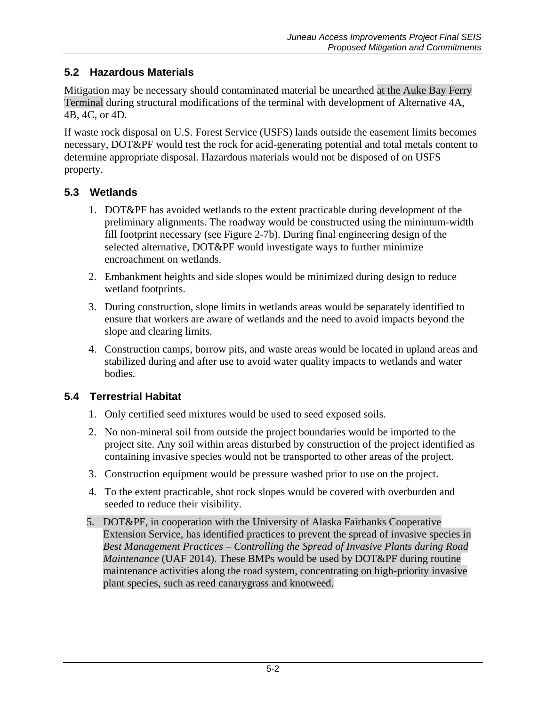# **5.2 Hazardous Materials**

Mitigation may be necessary should contaminated material be unearthed at the Auke Bay Ferry Terminal during structural modifications of the terminal with development of Alternative 4A, 4B, 4C, or 4D.

If waste rock disposal on U.S. Forest Service (USFS) lands outside the easement limits becomes necessary, DOT&PF would test the rock for acid-generating potential and total metals content to determine appropriate disposal. Hazardous materials would not be disposed of on USFS property.

# **5.3 Wetlands**

- 1. DOT&PF has avoided wetlands to the extent practicable during development of the preliminary alignments. The roadway would be constructed using the minimum-width fill footprint necessary (see Figure 2-7b). During final engineering design of the selected alternative, DOT&PF would investigate ways to further minimize encroachment on wetlands.
- 2. Embankment heights and side slopes would be minimized during design to reduce wetland footprints.
- 3. During construction, slope limits in wetlands areas would be separately identified to ensure that workers are aware of wetlands and the need to avoid impacts beyond the slope and clearing limits.
- 4. Construction camps, borrow pits, and waste areas would be located in upland areas and stabilized during and after use to avoid water quality impacts to wetlands and water bodies.

# **5.4 Terrestrial Habitat**

- 1. Only certified seed mixtures would be used to seed exposed soils.
- 2. No non-mineral soil from outside the project boundaries would be imported to the project site. Any soil within areas disturbed by construction of the project identified as containing invasive species would not be transported to other areas of the project.
- 3. Construction equipment would be pressure washed prior to use on the project.
- 4. To the extent practicable, shot rock slopes would be covered with overburden and seeded to reduce their visibility.
- 5. DOT&PF, in cooperation with the University of Alaska Fairbanks Cooperative Extension Service, has identified practices to prevent the spread of invasive species in *Best Management Practices – Controlling the Spread of Invasive Plants during Road Maintenance* (UAF 2014). These BMPs would be used by DOT&PF during routine maintenance activities along the road system, concentrating on high-priority invasive plant species, such as reed canarygrass and knotweed.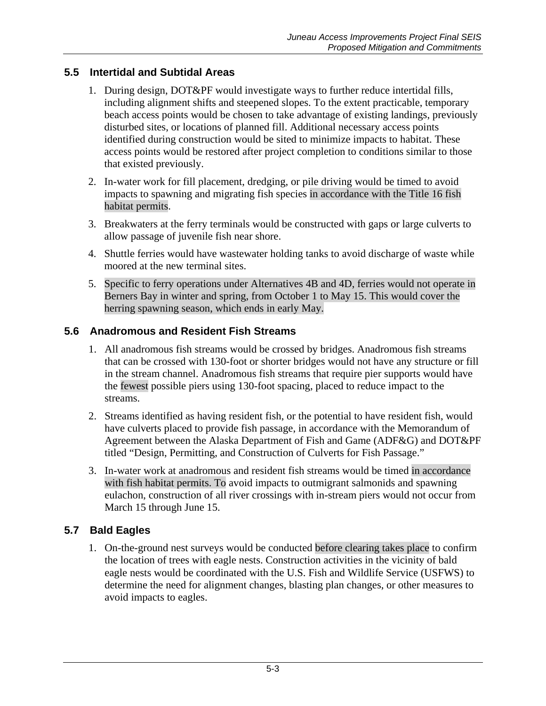## **5.5 Intertidal and Subtidal Areas**

- 1. During design, DOT&PF would investigate ways to further reduce intertidal fills, including alignment shifts and steepened slopes. To the extent practicable, temporary beach access points would be chosen to take advantage of existing landings, previously disturbed sites, or locations of planned fill. Additional necessary access points identified during construction would be sited to minimize impacts to habitat. These access points would be restored after project completion to conditions similar to those that existed previously.
- 2. In-water work for fill placement, dredging, or pile driving would be timed to avoid impacts to spawning and migrating fish species in accordance with the Title 16 fish habitat permits.
- 3. Breakwaters at the ferry terminals would be constructed with gaps or large culverts to allow passage of juvenile fish near shore.
- 4. Shuttle ferries would have wastewater holding tanks to avoid discharge of waste while moored at the new terminal sites.
- 5. Specific to ferry operations under Alternatives 4B and 4D, ferries would not operate in Berners Bay in winter and spring, from October 1 to May 15. This would cover the herring spawning season, which ends in early May.

#### **5.6 Anadromous and Resident Fish Streams**

- 1. All anadromous fish streams would be crossed by bridges. Anadromous fish streams that can be crossed with 130-foot or shorter bridges would not have any structure or fill in the stream channel. Anadromous fish streams that require pier supports would have the fewest possible piers using 130-foot spacing, placed to reduce impact to the streams.
- 2. Streams identified as having resident fish, or the potential to have resident fish, would have culverts placed to provide fish passage, in accordance with the Memorandum of Agreement between the Alaska Department of Fish and Game (ADF&G) and DOT&PF titled "Design, Permitting, and Construction of Culverts for Fish Passage."
- 3. In-water work at anadromous and resident fish streams would be timed in accordance with fish habitat permits. To avoid impacts to outmigrant salmonids and spawning eulachon, construction of all river crossings with in-stream piers would not occur from March 15 through June 15.

#### **5.7 Bald Eagles**

1. On-the-ground nest surveys would be conducted before clearing takes place to confirm the location of trees with eagle nests. Construction activities in the vicinity of bald eagle nests would be coordinated with the U.S. Fish and Wildlife Service (USFWS) to determine the need for alignment changes, blasting plan changes, or other measures to avoid impacts to eagles.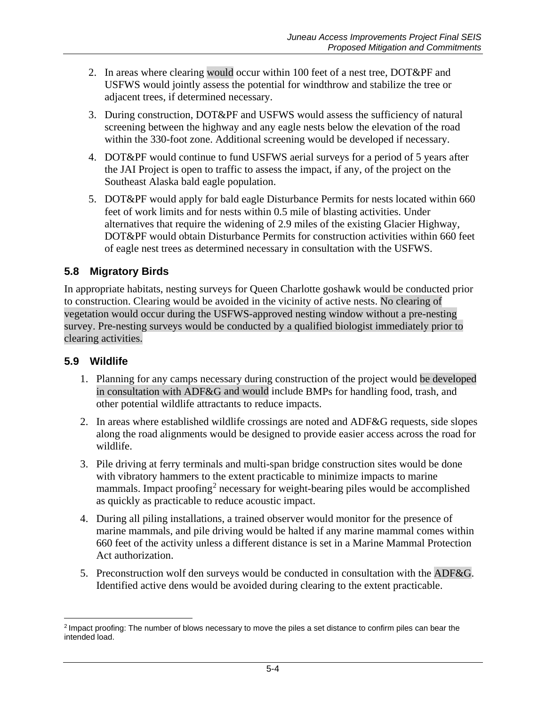- 2. In areas where clearing would occur within 100 feet of a nest tree, DOT&PF and USFWS would jointly assess the potential for windthrow and stabilize the tree or adjacent trees, if determined necessary.
- 3. During construction, DOT&PF and USFWS would assess the sufficiency of natural screening between the highway and any eagle nests below the elevation of the road within the 330-foot zone. Additional screening would be developed if necessary.
- 4. DOT&PF would continue to fund USFWS aerial surveys for a period of 5 years after the JAI Project is open to traffic to assess the impact, if any, of the project on the Southeast Alaska bald eagle population.
- 5. DOT&PF would apply for bald eagle Disturbance Permits for nests located within 660 feet of work limits and for nests within 0.5 mile of blasting activities. Under alternatives that require the widening of 2.9 miles of the existing Glacier Highway, DOT&PF would obtain Disturbance Permits for construction activities within 660 feet of eagle nest trees as determined necessary in consultation with the USFWS.

## **5.8 Migratory Birds**

In appropriate habitats, nesting surveys for Queen Charlotte goshawk would be conducted prior to construction. Clearing would be avoided in the vicinity of active nests. No clearing of vegetation would occur during the USFWS-approved nesting window without a pre-nesting survey. Pre-nesting surveys would be conducted by a qualified biologist immediately prior to clearing activities.

#### **5.9 Wildlife**

- 1. Planning for any camps necessary during construction of the project would be developed in consultation with ADF&G and would include BMPs for handling food, trash, and other potential wildlife attractants to reduce impacts.
- 2. In areas where established wildlife crossings are noted and ADF&G requests, side slopes along the road alignments would be designed to provide easier access across the road for wildlife.
- 3. Pile driving at ferry terminals and multi-span bridge construction sites would be done with vibratory hammers to the extent practicable to minimize impacts to marine mammals. Impact proofing<sup>[2](#page-3-0)</sup> necessary for weight-bearing piles would be accomplished as quickly as practicable to reduce acoustic impact.
- 4. During all piling installations, a trained observer would monitor for the presence of marine mammals, and pile driving would be halted if any marine mammal comes within 660 feet of the activity unless a different distance is set in a Marine Mammal Protection Act authorization.
- 5. Preconstruction wolf den surveys would be conducted in consultation with the ADF&G. Identified active dens would be avoided during clearing to the extent practicable.

<span id="page-3-0"></span> $\overline{a}$ <sup>2</sup> Impact proofing: The number of blows necessary to move the piles a set distance to confirm piles can bear the intended load.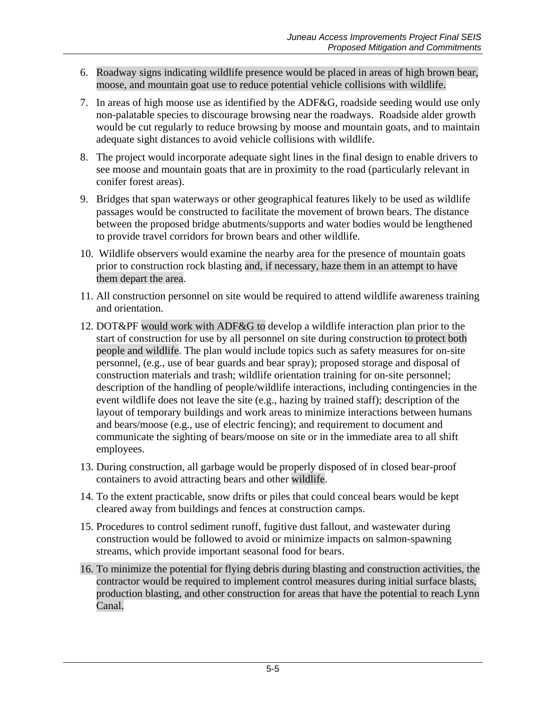- 6. Roadway signs indicating wildlife presence would be placed in areas of high brown bear, moose, and mountain goat use to reduce potential vehicle collisions with wildlife.
- 7. In areas of high moose use as identified by the ADF&G, roadside seeding would use only non-palatable species to discourage browsing near the roadways. Roadside alder growth would be cut regularly to reduce browsing by moose and mountain goats, and to maintain adequate sight distances to avoid vehicle collisions with wildlife.
- 8. The project would incorporate adequate sight lines in the final design to enable drivers to see moose and mountain goats that are in proximity to the road (particularly relevant in conifer forest areas).
- 9. Bridges that span waterways or other geographical features likely to be used as wildlife passages would be constructed to facilitate the movement of brown bears. The distance between the proposed bridge abutments/supports and water bodies would be lengthened to provide travel corridors for brown bears and other wildlife.
- 10. Wildlife observers would examine the nearby area for the presence of mountain goats prior to construction rock blasting and, if necessary, haze them in an attempt to have them depart the area.
- 11. All construction personnel on site would be required to attend wildlife awareness training and orientation.
- 12. DOT&PF would work with ADF&G to develop a wildlife interaction plan prior to the start of construction for use by all personnel on site during construction to protect both people and wildlife. The plan would include topics such as safety measures for on-site personnel, (e.g., use of bear guards and bear spray); proposed storage and disposal of construction materials and trash; wildlife orientation training for on-site personnel; description of the handling of people/wildlife interactions, including contingencies in the event wildlife does not leave the site (e.g., hazing by trained staff); description of the layout of temporary buildings and work areas to minimize interactions between humans and bears/moose (e.g., use of electric fencing); and requirement to document and communicate the sighting of bears/moose on site or in the immediate area to all shift employees.
- 13. During construction, all garbage would be properly disposed of in closed bear-proof containers to avoid attracting bears and other wildlife.
- 14. To the extent practicable, snow drifts or piles that could conceal bears would be kept cleared away from buildings and fences at construction camps.
- 15. Procedures to control sediment runoff, fugitive dust fallout, and wastewater during construction would be followed to avoid or minimize impacts on salmon-spawning streams, which provide important seasonal food for bears.
- 16. To minimize the potential for flying debris during blasting and construction activities, the contractor would be required to implement control measures during initial surface blasts, production blasting, and other construction for areas that have the potential to reach Lynn Canal.